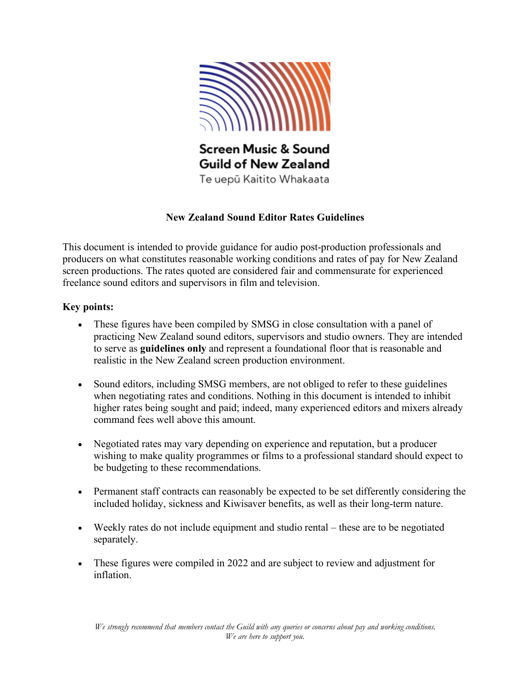

# **New Zealand Sound Editor Rates Guidelines**

This document is intended to provide guidance for audio post-production professionals and producers on what constitutes reasonable working conditions and rates of pay for New Zealand screen productions. The rates quoted are considered fair and commensurate for experienced freelance sound editors and supervisors in film and television.

## **Key points:**

- These figures have been compiled by SMSG in close consultation with a panel of practicing New Zealand sound editors, supervisors and studio owners. They are intended to serve as **guidelines only** and represent a foundational floor that is reasonable and realistic in the New Zealand screen production environment.
- Sound editors, including SMSG members, are not obliged to refer to these guidelines when negotiating rates and conditions. Nothing in this document is intended to inhibit higher rates being sought and paid; indeed, many experienced editors and mixers already command fees well above this amount.
- Negotiated rates may vary depending on experience and reputation, but a producer wishing to make quality programmes or films to a professional standard should expect to be budgeting to these recommendations.
- Permanent staff contracts can reasonably be expected to be set differently considering the included holiday, sickness and Kiwisaver benefits, as well as their long-term nature.
- Weekly rates do not include equipment and studio rental these are to be negotiated separately.
- These figures were compiled in 2022 and are subject to review and adjustment for inflation.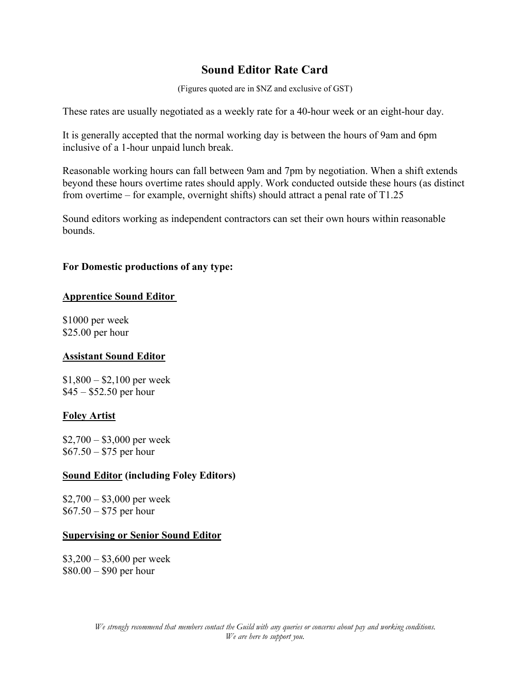# **Sound Editor Rate Card**

(Figures quoted are in \$NZ and exclusive of GST)

These rates are usually negotiated as a weekly rate for a 40-hour week or an eight-hour day.

It is generally accepted that the normal working day is between the hours of 9am and 6pm inclusive of a 1-hour unpaid lunch break.

Reasonable working hours can fall between 9am and 7pm by negotiation. When a shift extends beyond these hours overtime rates should apply. Work conducted outside these hours (as distinct from overtime – for example, overnight shifts) should attract a penal rate of T1.25

Sound editors working as independent contractors can set their own hours within reasonable bounds.

#### **For Domestic productions of any type:**

#### **Apprentice Sound Editor**

\$1000 per week \$25.00 per hour

#### **Assistant Sound Editor**

 $$1,800 - $2,100$  per week \$45 – \$52.50 per hour

#### **Foley Artist**

 $$2,700 - $3,000$  per week \$67.50 – \$75 per hour

#### **Sound Editor (including Foley Editors)**

\$2,700 – \$3,000 per week \$67.50 – \$75 per hour

#### **Supervising or Senior Sound Editor**

 $$3,200 - $3,600$  per week \$80.00 – \$90 per hour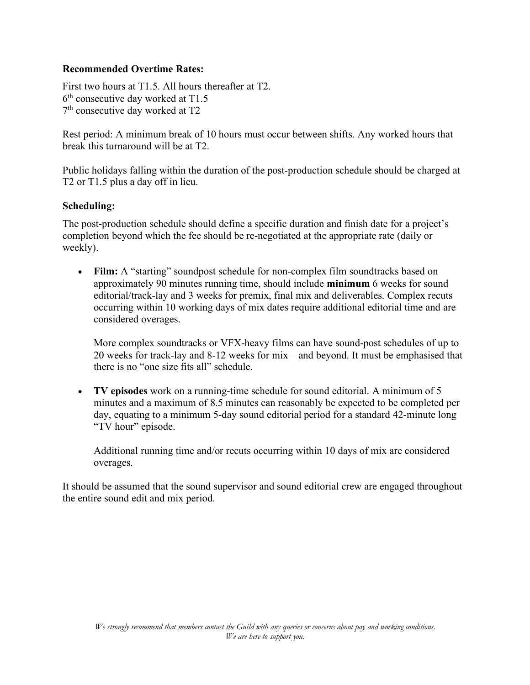#### **Recommended Overtime Rates:**

First two hours at T1.5. All hours thereafter at T2. 6th consecutive day worked at T1.5 7th consecutive day worked at T2

Rest period: A minimum break of 10 hours must occur between shifts. Any worked hours that break this turnaround will be at T2.

Public holidays falling within the duration of the post-production schedule should be charged at T2 or T1.5 plus a day off in lieu.

## **Scheduling:**

The post-production schedule should define a specific duration and finish date for a project's completion beyond which the fee should be re-negotiated at the appropriate rate (daily or weekly).

• **Film:** A "starting" soundpost schedule for non-complex film soundtracks based on approximately 90 minutes running time, should include **minimum** 6 weeks for sound editorial/track-lay and 3 weeks for premix, final mix and deliverables. Complex recuts occurring within 10 working days of mix dates require additional editorial time and are considered overages.

More complex soundtracks or VFX-heavy films can have sound-post schedules of up to 20 weeks for track-lay and 8-12 weeks for mix – and beyond. It must be emphasised that there is no "one size fits all" schedule.

• **TV episodes** work on a running-time schedule for sound editorial. A minimum of 5 minutes and a maximum of 8.5 minutes can reasonably be expected to be completed per day, equating to a minimum 5-day sound editorial period for a standard 42-minute long "TV hour" episode.

Additional running time and/or recuts occurring within 10 days of mix are considered overages.

It should be assumed that the sound supervisor and sound editorial crew are engaged throughout the entire sound edit and mix period.